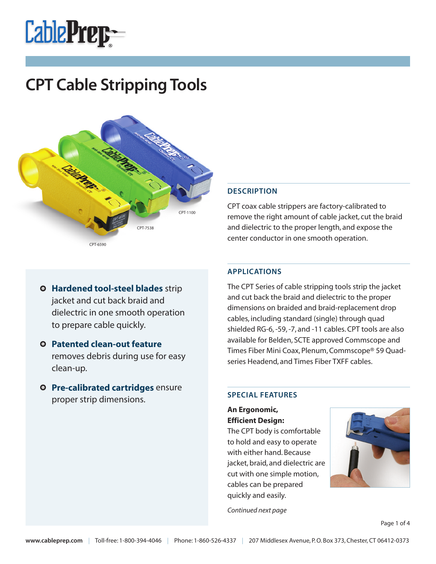

# **CPT** Cable Stripping Tools



- **Hardened tool-steel blades** strip jacket and cut back braid and dielectric in one smooth operation to prepare cable quickly.
- **Patented clean-out feature** removes debris during use for easy clean-up.
- **Pre-calibrated cartridges** ensure proper strip dimensions.

#### **DESCRIPTION**

CPT coax cable strippers are factory-calibrated to remove the right amount of cable jacket, cut the braid and dielectric to the proper length, and expose the center conductor in one smooth operation.

#### **APPLICATIONS**

The CPT Series of cable stripping tools strip the jacket and cut back the braid and dielectric to the proper dimensions on braided and braid-replacement drop cables, including standard (single) through quad shielded RG-6,-59,-7, and -11 cables.CPT tools are also available for Belden, SCTE approved Commscope and Times Fiber Mini Coax, Plenum,Commscope® 59 Quadseries Headend, and Times Fiber TXFF cables.

#### **SPECIAL FEATURES**

**An Ergonomic, Efficient Design:**

The CPT body is comfortable to hold and easy to operate with either hand. Because jacket, braid, and dielectric are cut with one simple motion, cables can be prepared quickly and easily.

*Continued next page*



Page 1 of 4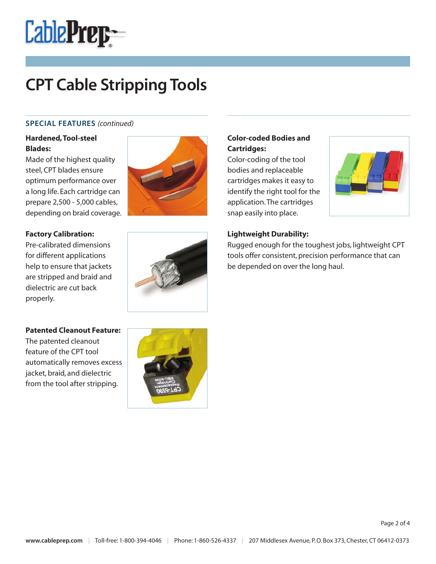

# **CPT** Cable Stripping Tools

#### **SPECIAL FEATURES** *(continued)*

## **Hardened,Tool-steel Blades:**

Made of the highest quality steel,CPT blades ensure optimum performance over a long life. Each cartridge can prepare 2,500 - 5,000 cables, depending on braid coverage.



#### **Factory Calibration:**

Pre-calibrated dimensions for different applications help to ensure that jackets are stripped and braid and dielectric are cut back properly.



#### **Patented Cleanout Feature:**

The patented cleanout feature of the CPT tool automatically removes excess jacket, braid, and dielectric from the tool after stripping.



## **Color-coded Bodies and Cartridges:**

Color-coding of the tool bodies and replaceable cartridges makes it easy to identify the right tool for the application.The cartridges snap easily into place.



### **Lightweight Durability:**

Rugged enough for the toughest jobs, lightweight CPT tools offer consistent, precision performance that can be depended on over the long haul.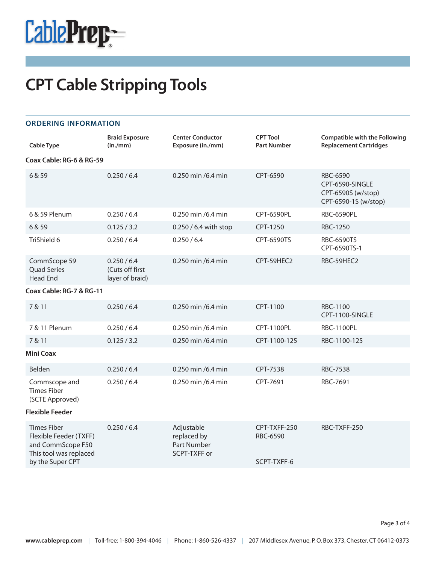

# **CPT** Cable Stripping Tools

| <b>ORDERING INFORMATION</b>                                                                                     |                                                   |                                                          |                                         |                                                                           |  |  |  |
|-----------------------------------------------------------------------------------------------------------------|---------------------------------------------------|----------------------------------------------------------|-----------------------------------------|---------------------------------------------------------------------------|--|--|--|
| <b>Cable Type</b>                                                                                               | <b>Braid Exposure</b><br>(in./mm)                 | <b>Center Conductor</b><br>Exposure (in./mm)             | <b>CPT Tool</b><br><b>Part Number</b>   | <b>Compatible with the Following</b><br><b>Replacement Cartridges</b>     |  |  |  |
| Coax Cable: RG-6 & RG-59                                                                                        |                                                   |                                                          |                                         |                                                                           |  |  |  |
| 6 & 59                                                                                                          | 0.250 / 6.4                                       | 0.250 min /6.4 min                                       | CPT-6590                                | RBC-6590<br>CPT-6590-SINGLE<br>CPT-6590S (w/stop)<br>CPT-6590-1S (w/stop) |  |  |  |
| 6 & 59 Plenum                                                                                                   | 0.250 / 6.4                                       | 0.250 min /6.4 min                                       | <b>CPT-6590PL</b>                       | <b>RBC-6590PL</b>                                                         |  |  |  |
| 6 & 59                                                                                                          | 0.125 / 3.2                                       | 0.250 / 6.4 with stop                                    | CPT-1250                                | RBC-1250                                                                  |  |  |  |
| TriShield 6                                                                                                     | 0.250 / 6.4                                       | 0.250 / 6.4                                              | CPT-6590TS                              | <b>RBC-6590TS</b><br>CPT-6590TS-1                                         |  |  |  |
| CommScope 59<br><b>Quad Series</b><br><b>Head End</b>                                                           | 0.250 / 6.4<br>(Cuts off first<br>layer of braid) | 0.250 min /6.4 min                                       | CPT-59HEC2                              | RBC-59HEC2                                                                |  |  |  |
| Coax Cable: RG-7 & RG-11                                                                                        |                                                   |                                                          |                                         |                                                                           |  |  |  |
| 7 & 11                                                                                                          | 0.250 / 6.4                                       | 0.250 min /6.4 min                                       | CPT-1100                                | RBC-1100<br>CPT-1100-SINGLE                                               |  |  |  |
| 7 & 11 Plenum                                                                                                   | 0.250 / 6.4                                       | 0.250 min /6.4 min                                       | CPT-1100PL                              | <b>RBC-1100PL</b>                                                         |  |  |  |
| 7 & 11                                                                                                          | 0.125 / 3.2                                       | 0.250 min /6.4 min                                       | CPT-1100-125                            | RBC-1100-125                                                              |  |  |  |
| <b>Mini Coax</b>                                                                                                |                                                   |                                                          |                                         |                                                                           |  |  |  |
| Belden                                                                                                          | 0.250 / 6.4                                       | 0.250 min /6.4 min                                       | CPT-7538                                | RBC-7538                                                                  |  |  |  |
| Commscope and<br><b>Times Fiber</b><br>(SCTE Approved)<br><b>Flexible Feeder</b>                                | 0.250 / 6.4                                       | 0.250 min /6.4 min                                       | CPT-7691                                | RBC-7691                                                                  |  |  |  |
|                                                                                                                 |                                                   |                                                          |                                         |                                                                           |  |  |  |
| <b>Times Fiber</b><br>Flexible Feeder (TXFF)<br>and CommScope F50<br>This tool was replaced<br>by the Super CPT | 0.250 / 6.4                                       | Adjustable<br>replaced by<br>Part Number<br>SCPT-TXFF or | CPT-TXFF-250<br>RBC-6590<br>SCPT-TXFF-6 | RBC-TXFF-250                                                              |  |  |  |